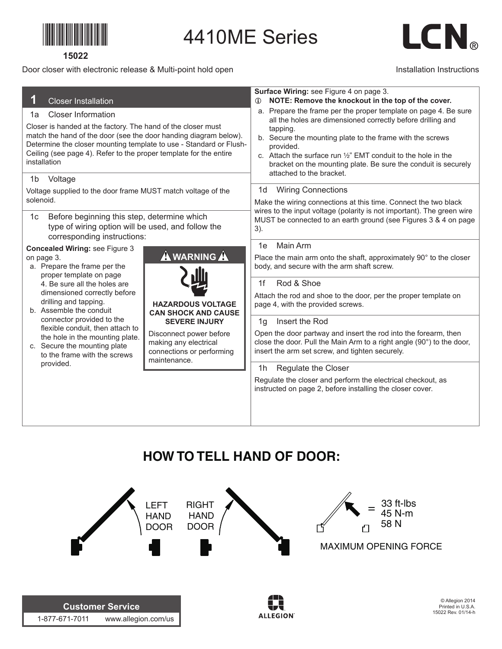

#### **15022**

## Door closer with electronic release & Multi-point hold open

1-877-671-7011 www.allegion.com/us

# LCN.

## Installation Instructions

|                                                                                                                                                                                                                                                                                             |                                                                               | Surface Wiring: see Figure 4 on page 3.                                                                                                                                                                                                           |  |  |  |  |  |
|---------------------------------------------------------------------------------------------------------------------------------------------------------------------------------------------------------------------------------------------------------------------------------------------|-------------------------------------------------------------------------------|---------------------------------------------------------------------------------------------------------------------------------------------------------------------------------------------------------------------------------------------------|--|--|--|--|--|
| <b>Closer Installation</b>                                                                                                                                                                                                                                                                  |                                                                               | NOTE: Remove the knockout in the top of the cover.                                                                                                                                                                                                |  |  |  |  |  |
| <b>Closer Information</b><br>1a                                                                                                                                                                                                                                                             |                                                                               | a. Prepare the frame per the proper template on page 4. Be sure<br>all the holes are dimensioned correctly before drilling and                                                                                                                    |  |  |  |  |  |
| Closer is handed at the factory. The hand of the closer must<br>match the hand of the door (see the door handing diagram below).<br>Determine the closer mounting template to use - Standard or Flush-<br>Ceiling (see page 4). Refer to the proper template for the entire<br>installation |                                                                               | tapping.<br>b. Secure the mounting plate to the frame with the screws<br>provided.<br>c. Attach the surface run 1/2" EMT conduit to the hole in the<br>bracket on the mounting plate. Be sure the conduit is securely<br>attached to the bracket. |  |  |  |  |  |
| 1 <sub>b</sub><br>Voltage                                                                                                                                                                                                                                                                   |                                                                               |                                                                                                                                                                                                                                                   |  |  |  |  |  |
| Voltage supplied to the door frame MUST match voltage of the                                                                                                                                                                                                                                |                                                                               | <b>Wiring Connections</b><br>1d                                                                                                                                                                                                                   |  |  |  |  |  |
| solenoid.                                                                                                                                                                                                                                                                                   |                                                                               | Make the wiring connections at this time. Connect the two black<br>wires to the input voltage (polarity is not important). The green wire<br>MUST be connected to an earth ground (see Figures 3 & 4 on page<br>3).                               |  |  |  |  |  |
| Before beginning this step, determine which<br>1c<br>type of wiring option will be used, and follow the<br>corresponding instructions:                                                                                                                                                      |                                                                               |                                                                                                                                                                                                                                                   |  |  |  |  |  |
| <b>Concealed Wiring: see Figure 3</b>                                                                                                                                                                                                                                                       |                                                                               | Main Arm<br>1e                                                                                                                                                                                                                                    |  |  |  |  |  |
| on page 3.<br>a. Prepare the frame per the<br>proper template on page                                                                                                                                                                                                                       | <b>A</b> WARNING A                                                            | Place the main arm onto the shaft, approximately 90° to the closer<br>body, and secure with the arm shaft screw.                                                                                                                                  |  |  |  |  |  |
| 4. Be sure all the holes are                                                                                                                                                                                                                                                                |                                                                               | Rod & Shoe<br>1f                                                                                                                                                                                                                                  |  |  |  |  |  |
| dimensioned correctly before<br>drilling and tapping.<br>b. Assemble the conduit                                                                                                                                                                                                            | <b>HAZARDOUS VOLTAGE</b><br><b>CAN SHOCK AND CAUSE</b>                        | Attach the rod and shoe to the door, per the proper template on<br>page 4, with the provided screws.                                                                                                                                              |  |  |  |  |  |
| connector provided to the                                                                                                                                                                                                                                                                   | <b>SEVERE INJURY</b>                                                          | Insert the Rod<br>1g                                                                                                                                                                                                                              |  |  |  |  |  |
| flexible conduit, then attach to<br>the hole in the mounting plate.<br>c. Secure the mounting plate<br>to the frame with the screws<br>maintenance.                                                                                                                                         | Disconnect power before<br>making any electrical<br>connections or performing | Open the door partway and insert the rod into the forearm, then<br>close the door. Pull the Main Arm to a right angle (90°) to the door,<br>insert the arm set screw, and tighten securely.                                                       |  |  |  |  |  |
| provided.                                                                                                                                                                                                                                                                                   |                                                                               | Regulate the Closer<br>1h                                                                                                                                                                                                                         |  |  |  |  |  |
|                                                                                                                                                                                                                                                                                             |                                                                               | Regulate the closer and perform the electrical checkout, as<br>instructed on page 2, before installing the closer cover.                                                                                                                          |  |  |  |  |  |
|                                                                                                                                                                                                                                                                                             |                                                                               |                                                                                                                                                                                                                                                   |  |  |  |  |  |

4410ME Series

# **HOW TO TELL HAND OF DOOR:**

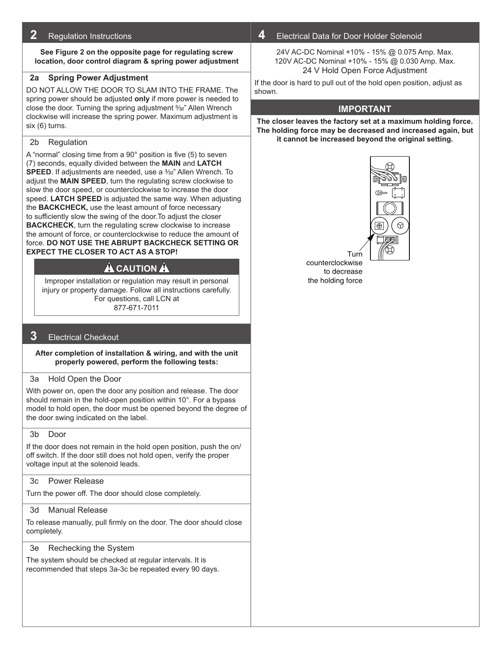## **2** Regulation Instructions

**See Figure 2 on the opposite page for regulating screw location, door control diagram & spring power adjustment**

#### **2a Spring Power Adjustment**

DO NOT ALLOW THE DOOR TO SLAM INTO THE FRAME. The spring power should be adjusted **only** if more power is needed to close the door. Turning the spring adjustment 5/32" Allen Wrench clockwise will increase the spring power. Maximum adjustment is six (6) turns.

#### 2b Regulation

A "normal" closing time from a 90° position is five (5) to seven (7) seconds, equally divided between the **MAIN** and **LATCH SPEED**. If adjustments are needed, use a <sup>3</sup>/<sub>32</sub>" Allen Wrench. To adjust the **MAIN SPEED**, turn the regulating screw clockwise to slow the door speed, or counterclockwise to increase the door speed. **LATCH SPEED** is adjusted the same way. When adjusting the **BACKCHECK,** use the least amount of force necessary to sufficiently slow the swing of the door.To adjust the closer **BACKCHECK**, turn the regulating screw clockwise to increase the amount of force, or counterclockwise to reduce the amount of force. **DO NOT USE THE ABRUPT BACKCHECK SETTING OR EXPECT THE CLOSER TO ACT AS A STOP!**

# **A** CAUTION **A**

Improper installation or regulation may result in personal injury or property damage. Follow all instructions carefully. For questions, call LCN at 877-671-7011

# **3** Electrical Checkout

#### **After completion of installation & wiring, and with the unit properly powered, perform the following tests:**

#### 3a Hold Open the Door

With power on, open the door any position and release. The door should remain in the hold-open position within 10°. For a bypass model to hold open, the door must be opened beyond the degree of the door swing indicated on the label.

#### 3b Door

If the door does not remain in the hold open position, push the on/ off switch. If the door still does not hold open, verify the proper voltage input at the solenoid leads.

# 3c Power Release

Turn the power off. The door should close completely.

# 3d Manual Release

To release manually, pull firmly on the door. The door should close completely.

# 3e Rechecking the System

The system should be checked at regular intervals. It is recommended that steps 3a-3c be repeated every 90 days.

# **4** Electrical Data for Door Holder Solenoid

24V AC-DC Nominal +10% - 15% @ 0.075 Amp. Max. 120V AC-DC Nominal +10% - 15% @ 0.030 Amp. Max. 24 V Hold Open Force Adjustment

If the door is hard to pull out of the hold open position, adjust as shown.

# **Important**

**The closer leaves the factory set at a maximum holding force. The holding force may be decreased and increased again, but it cannot be increased beyond the original setting.**



Turn counterclockwise to decrease the holding force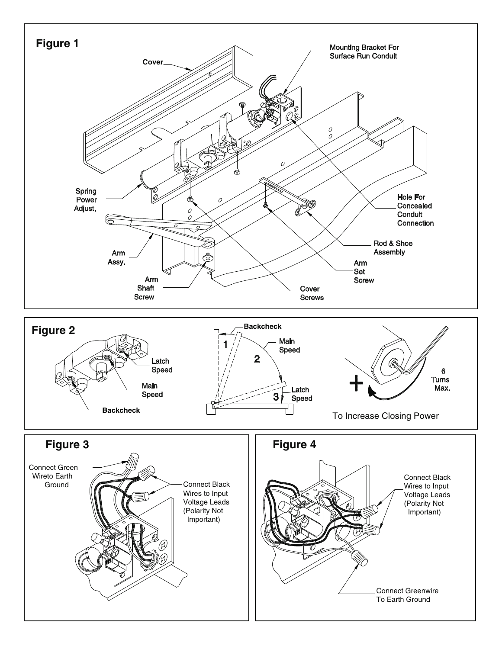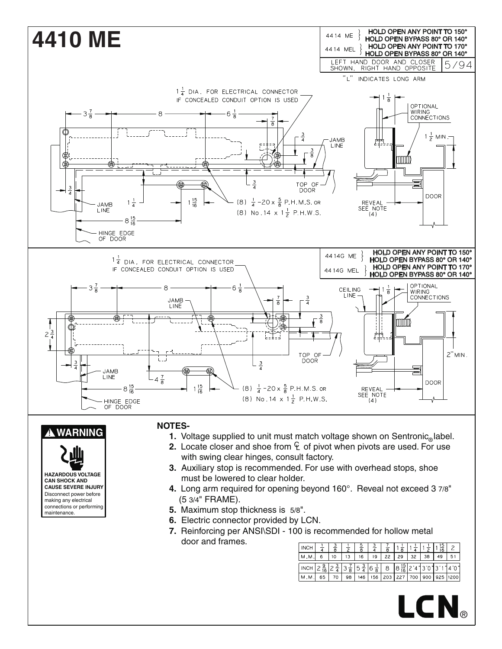

| I імсн I                                                                                                                                                                                 | $\frac{1}{4}$ $\frac{3}{8}$ $\frac{1}{2}$ $\frac{1}{2}$ | $rac{5}{8}$ |  | $\frac{3}{4}$ $\frac{7}{8}$ $\frac{1}{8}$ $\frac{1}{8}$ $\frac{1}{4}$ $\frac{1}{2}$ $\frac{1}{2}$ $\frac{15}{16}$ $\frac{2}{4}$ |  |  |
|------------------------------------------------------------------------------------------------------------------------------------------------------------------------------------------|---------------------------------------------------------|-------------|--|---------------------------------------------------------------------------------------------------------------------------------|--|--|
| M.M.  6                                                                                                                                                                                  | $110 - 1$                                               |             |  | 13   16   19   22   29   32   38   49   51                                                                                      |  |  |
| INCH $2\frac{9}{16}$ $2\frac{3}{4}$ $3\frac{7}{8}$ $5\frac{3}{4}$ $6\frac{1}{8}$ $8\frac{1}{8}$ $8\frac{15}{16}$ $2\frac{4}{13}\frac{1}{0}\frac{3}{13}\frac{1}{1}\frac{1}{4}\frac{1}{0}$ |                                                         |             |  |                                                                                                                                 |  |  |
| M.M.  65   70   98   146   156  203  227  700  900  925  1200                                                                                                                            |                                                         |             |  |                                                                                                                                 |  |  |